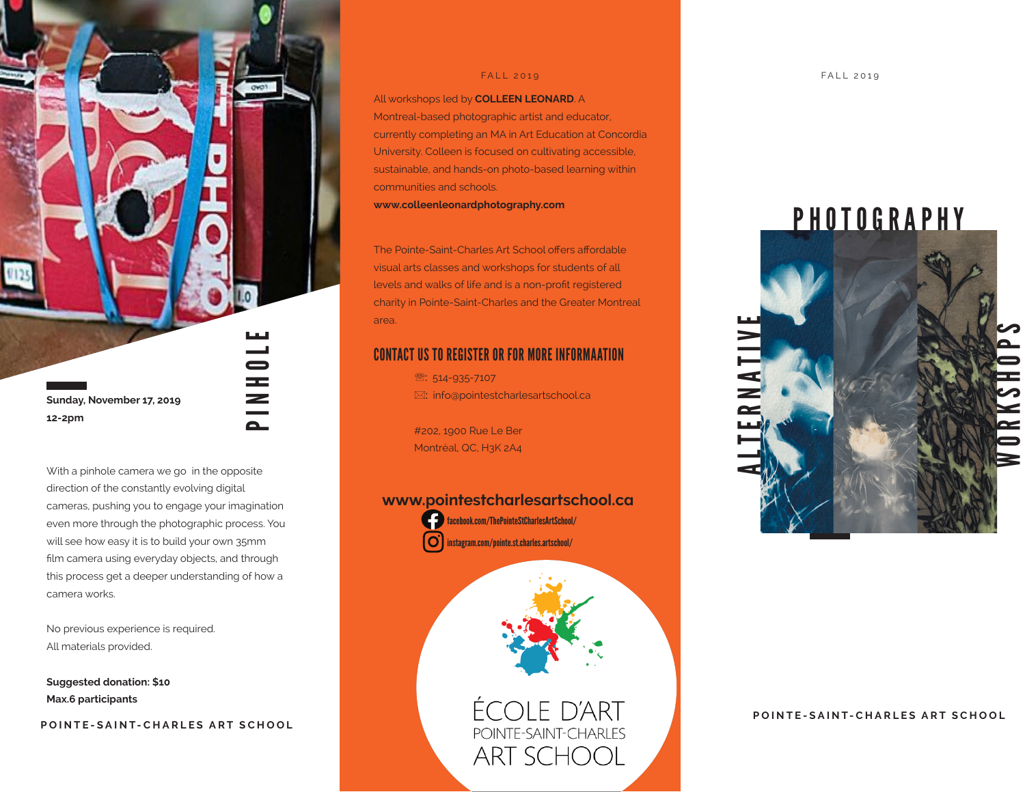**Sunday, November 17, 2019 12-2pm**

With a pinhole camera we go in the opposite direction of the constantly evolving digital cameras, pushing you to engage your imagination even more through the photographic process. You will see how easy it is to build your own 35mm film camera using everyday objects, and through this process get a deeper understanding of how a camera works.

HI<br>Al

No previous experience is required. All materials provided.

**Suggested donation: \$10 Max.6 participants**

**POINTE-SAINT-CHARLES ART SCHOOL**

All workshops led by **COLLEEN LEONARD**. A Montreal-based photographic artist and educator, currently completing an MA in Art Education at Concordia University. Colleen is focused on cultivating accessible, sustainable, and hands-on photo-based learning within communities and schools.

**www.colleenleonardphotography.com**

The Pointe-Saint-Charles Art School offers affordable visual arts classes and workshops for students of all levels and walks of life and is a non-profit registered charity in Pointe-Saint-Charles and the Greater Montreal area.

## CONTACT US TO REGISTER OR FOR MORE INFORMAATION

<sup>2</sup>: 514-935-7107 : info@pointestcharlesartschool.ca

#202, 1900 Rue Le Ber Montréal, QC, H3K 2A4

### **www.pointestcharlesartschool.ca**



facebook.com/ThePointeStCharlesArtSchool/ instagram.com/pointe.st.charles.artschool/



ÉCOLE D'ART<br>POINTE-SAINT-CHARLES **ART SCHOOL** 

PHOTOGRAPHY



**POINTE-SAINT-CHARLES ART SCHOOL**